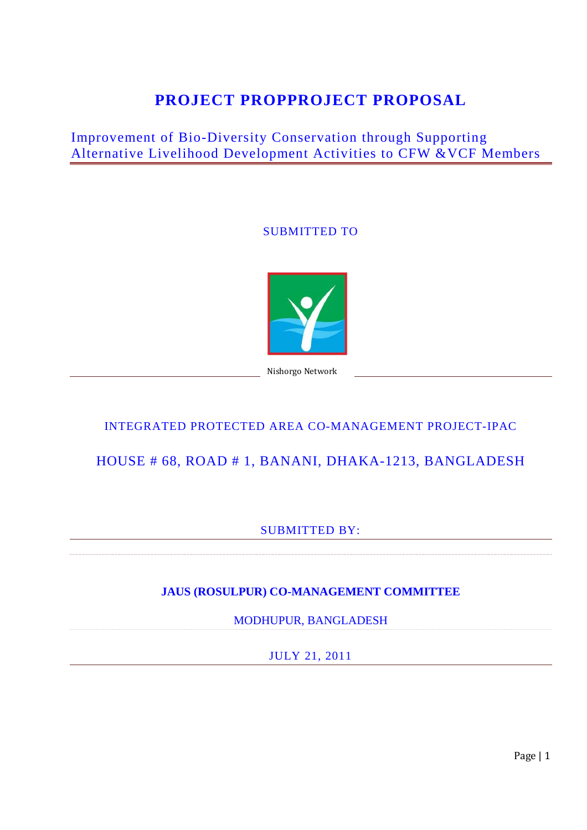# **PROJECT PROPPROJECT PROPOSAL**

## Improvement of Bio-Diversity Conservation through Supporting Alternative Livelihood Development Activities to CFW &VCF Members

### SUBMITTED TO



Nishorgo Network

## INTEGRATED PROTECTED AREA CO-MANAGEMENT PROJECT-IPAC

## HOUSE # 68, ROAD # 1, BANANI, DHAKA-1213, BANGLADESH

### SUBMITTED BY:

### **JAUS (ROSULPUR) CO-MANAGEMENT COMMITTEE**

MODHUPUR, BANGLADESH

JULY 21, 2011

Page | 1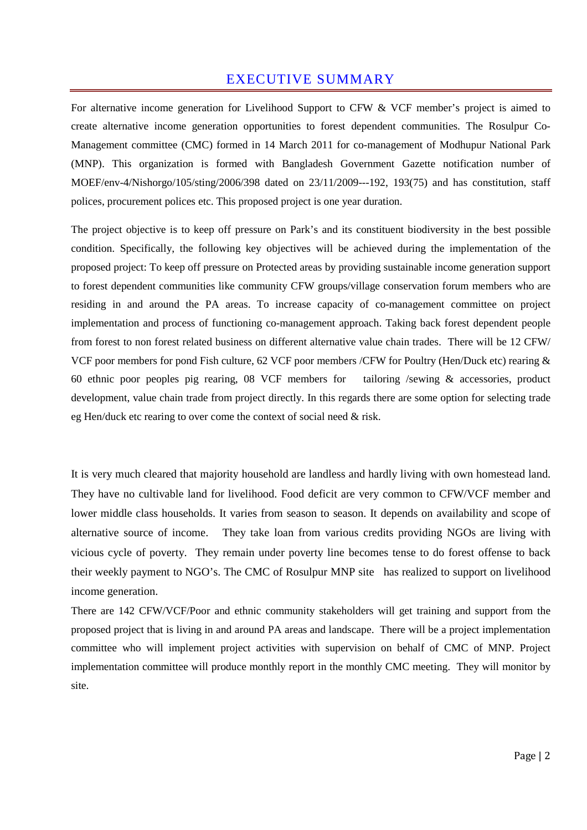### EXECUTIVE SUMMARY

For alternative income generation for Livelihood Support to CFW & VCF member's project is aimed to create alternative income generation opportunities to forest dependent communities. The Rosulpur Co-Management committee (CMC) formed in 14 March 2011 for co-management of Modhupur National Park (MNP). This organization is formed with Bangladesh Government Gazette notification number of MOEF/env-4/Nishorgo/105/sting/2006/398 dated on 23/11/2009---192, 193(75) and has constitution, staff polices, procurement polices etc. This proposed project is one year duration.

The project objective is to keep off pressure on Park's and its constituent biodiversity in the best possible condition. Specifically, the following key objectives will be achieved during the implementation of the proposed project: To keep off pressure on Protected areas by providing sustainable income generation support to forest dependent communities like community CFW groups/village conservation forum members who are residing in and around the PA areas. To increase capacity of co-management committee on project implementation and process of functioning co-management approach. Taking back forest dependent people from forest to non forest related business on different alternative value chain trades. There will be 12 CFW/ VCF poor members for pond Fish culture, 62 VCF poor members /CFW for Poultry (Hen/Duck etc) rearing & 60 ethnic poor peoples pig rearing, 08 VCF members for tailoring /sewing & accessories, product development, value chain trade from project directly. In this regards there are some option for selecting trade eg Hen/duck etc rearing to over come the context of social need & risk.

It is very much cleared that majority household are landless and hardly living with own homestead land. They have no cultivable land for livelihood. Food deficit are very common to CFW/VCF member and lower middle class households. It varies from season to season. It depends on availability and scope of alternative source of income. They take loan from various credits providing NGOs are living with vicious cycle of poverty. They remain under poverty line becomes tense to do forest offense to back their weekly payment to NGO's. The CMC of Rosulpur MNP site has realized to support on livelihood income generation.

There are 142 CFW/VCF/Poor and ethnic community stakeholders will get training and support from the proposed project that is living in and around PA areas and landscape. There will be a project implementation committee who will implement project activities with supervision on behalf of CMC of MNP. Project implementation committee will produce monthly report in the monthly CMC meeting. They will monitor by site.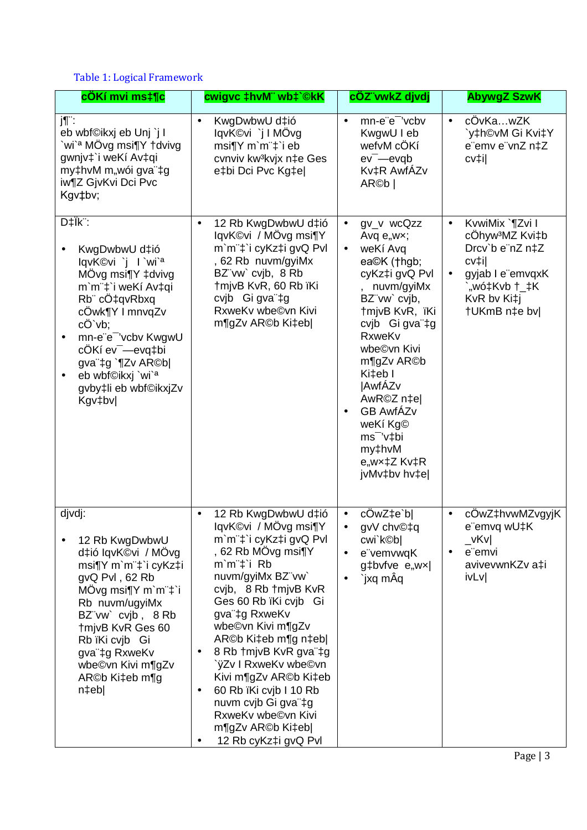### Table 1: Logical Framework

| cÖKí mvi ms‡¶c                                                                                                                                                                                                                                                                                                                                      | cwigvc ‡hvM" wb‡`©kK                                                                                                                                                                                                                                                                                                                                                                                                                                       | cÖZ vwkZ djvdj                                                                                                                                                                                                                                                                                                                                                                  | <b>AbywgZ SzwK</b>                                                                                                                                                       |
|-----------------------------------------------------------------------------------------------------------------------------------------------------------------------------------------------------------------------------------------------------------------------------------------------------------------------------------------------------|------------------------------------------------------------------------------------------------------------------------------------------------------------------------------------------------------------------------------------------------------------------------------------------------------------------------------------------------------------------------------------------------------------------------------------------------------------|---------------------------------------------------------------------------------------------------------------------------------------------------------------------------------------------------------------------------------------------------------------------------------------------------------------------------------------------------------------------------------|--------------------------------------------------------------------------------------------------------------------------------------------------------------------------|
| j¶∵<br>eb wbf©ikxj eb Unj `j I<br>`wi` <sup>a</sup> MÖvg msi¶Y †dvivg<br>gwnjv‡`i weKí Av‡qi<br>my‡hvM m"wói gva"‡g<br>iw¶Z GjvKvi Dci Pvc<br>Kgv‡bv;                                                                                                                                                                                               | KwgDwbwU d‡ió<br>$\bullet$<br>lqvK©vi `j I MÖvg<br>msi¶Y m`m¨‡`i eb<br>cvnviv kw <sup>3</sup> kvjx n‡e Ges<br>e‡bi Dci Pvc Kg‡e                                                                                                                                                                                                                                                                                                                            | mn-e"e" 'vcbv<br>$\bullet$<br>KwgwU I eb<br>wefvM cÖKí<br>$ev$ <sup><math>-</math></sup> evqb<br>Kv‡R AwfÁZv<br>AR©b                                                                                                                                                                                                                                                            | cÖvKawZK<br>$\bullet$<br>`y‡h©vM Gi Kvi‡Y<br>e"emv e"vnZ n‡Z<br>cv‡il                                                                                                    |
| D‡Ïk <sup>"</sup> :<br>KwgDwbwU d‡ió<br>lqvK©vi `j l`wi` <sup>a</sup><br>MÖvg msi¶Y ‡dvivg<br>m'm"‡'i weKí Av‡qi<br>Rb cÖ‡qvRbxq<br>cÖwk¶Y I mnvqZv<br>$c\ddot{O}$ $vb$ ;<br>mn-e"e" 'vcbv KwgwU<br>$\bullet$<br>cÖKí ev <sup>-</sup> -evq‡bi<br>gva"‡g `¶Zv AR©b <br>eb wbf©ikxj `wi` <sup>a</sup><br>$\bullet$<br>gvby‡li eb wbf©ikxjZv<br>Kgv‡bv | 12 Rb KwgDwbwU d‡ió<br>$\bullet$<br>lqvK©vi / MÖvg msi¶Y<br>m`m <sup>"+</sup> i cyKz‡i gvQ Pvl<br>, 62 Rb nuvm/gyiMx<br>BZ"vw' cvjb, 8 Rb<br>†mjvB KvR, 60 Rb ïKi<br>cvib Gi gva"‡g<br>RxweKv wbe©vn Kivi<br>m¶gZv AR©b Ki‡eb                                                                                                                                                                                                                              | $gv_v$ wc $Qzz$<br>$\bullet$<br>Avq $e_{n}$ w $x$ ;<br>weKí Avq<br>$\bullet$<br>ea©K (†hgb;<br>cyKz‡i gvQ Pvl<br>nuvm/gyiMx<br>BZ"vw` cvjb,<br>†mjvB KvR, ïKi<br>cvjb Gi gva"‡g<br>RxweKv<br>wbe©vn Kivi<br>m¶gZv AR©b<br>Ki‡eb I<br><b>AwfÁZv</b><br>AwR©Z n‡el<br><b>GB AwfÁZv</b><br>$\bullet$<br>weKí Kg©<br>ms <sup>-</sup> 'v‡bi<br>my‡hvM<br>e,wx‡Z Kv‡R<br>jvMv‡bv hv‡e | KvwiMix `¶Zvi I<br>$\bullet$<br>cÖhyw <sup>3</sup> MZ Kvi‡b<br>Drcv`b e"nZ n‡Z<br>cv‡i <br>gyjab I e"emvqxK<br>$\bullet$<br>`"wó‡Kvb †_‡K<br>KvR bv Ki‡j<br>†UKmB n‡e bv |
| djvdj:<br>12 Rb KwgDwbwU<br>d‡ió lqvK©vi / MÖvg<br>msi¶Y m`m¨‡`i cyKz‡i<br>gvQ PvI, 62 Rb<br>MOvg msi $\P$ Y m`m <sup>"<math>\ddagger</math></sup> i<br>Rb nuvm/ugyiMx<br>BZ"vw` cvjb, 8 Rb<br>tmjvB KvR Ges 60<br>Rb ïKi cvjb Gi<br>gva"‡g RxweKv<br>wbe©vn Kivi m¶gZv<br>AR©b Ki‡eb m¶g<br>n‡eb                                                   | 12 Rb KwgDwbwU d‡ió<br>$\bullet$<br>lqvK©vi / MÖvg msi¶Y<br>m`m¨‡`i cyKz‡i gvQ Pvl<br>, 62 Rb MÖvg msi¶Y<br>m`m"‡`i Rb<br>nuvm/gyiMx BZ"vw`<br>cvjb, 8 Rb † mjvB KvR<br>Ges 60 Rb ïKi cvjb Gi<br>gva"‡g RxweKv<br>wbe©vn Kivi m¶gZv<br>AR©b Ki‡eb m¶g n‡eb <br>8 Rb † mjvB KvR gva ‡g<br>`ÿZv I RxweKv wbe©vn<br>Kivi m¶gZv AR©b Ki‡eb<br>60 Rb ïKi cvjb I 10 Rb<br>nuvm cvjb Gi gva"‡g<br>RxweKv wbe©vn Kivi<br>m¶gZv AR©b Ki‡eb <br>12 Rb cyKz‡i gvQ Pvl | cÖwZ‡e`b <br>$\bullet$<br>gvV chv©‡q<br>$\bullet$<br>cwi`k©b <br>e"vemvwqK<br>g‡bvfve e"wx <br>`jxq mÂq                                                                                                                                                                                                                                                                         | cÖwZ‡hvwMZvgyjK<br>$\bullet$<br>e"emvq wU‡K<br>$\sqrt{\mathsf{K}}\mathsf{V}$<br>e"emvi<br>$\bullet$<br>avivevwnKZv a‡i<br>ivLv                                           |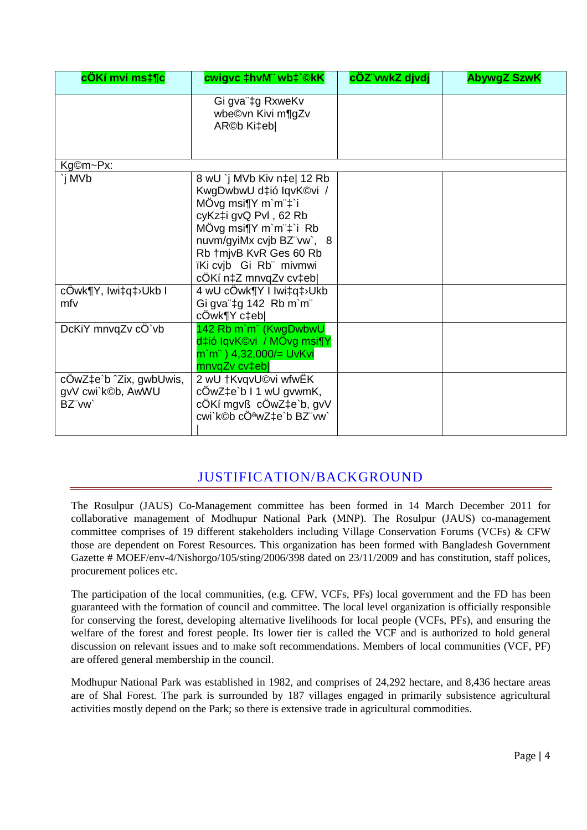| cÖKí mvi ms‡¶c                                        | cwigvc ‡hvM" wb‡`©kK                                                                                                                                                                                                                    | cÖZ vwkZ djvdj | <b>AbywgZ SzwK</b> |
|-------------------------------------------------------|-----------------------------------------------------------------------------------------------------------------------------------------------------------------------------------------------------------------------------------------|----------------|--------------------|
|                                                       | Gi gva"‡g RxweKv<br>wbe©vn Kivi m¶gZv<br>AR©b Ki‡eb                                                                                                                                                                                     |                |                    |
| Kg©m~Px:                                              |                                                                                                                                                                                                                                         |                |                    |
| `j MVb                                                | 8 wU `j MVb Kiv n‡e  12 Rb<br>KwgDwbwU d‡ió IqvK©vi /<br>MÖvg msi¶Y m`m¨‡`i<br>cyKz‡i gvQ PvI, 62 Rb<br>MÖvg msi¶Y m`m"‡`i Rb<br>nuvm/gyiMx cvjb BZ"vw`, 8<br>Rb +mjvB KvR Ges 60 Rb<br>ïKi cvjb Gi Rb" mivmwi<br>cÔKí n‡Z mnvqZv cv‡eb |                |                    |
| cÔwk¶Y, Iwi‡q‡>Ukb I<br>mfv                           | 4 wU cOwk¶Y I Iwi‡q‡>Ukb<br>Gi gva"‡g 142 Rb m`m"<br>cÔwk¶Y c‡eb                                                                                                                                                                        |                |                    |
| DcKiY mnvqZv cÖ`vb                                    | 142 Rb m'm" (KwgDwbwU<br>d‡ió IqvK©vi / MÖvg msi¶Y<br>m`m¨) 4,32,000/= UvKvi<br>mnvqZv cv‡eb                                                                                                                                            |                |                    |
| cÖwZ‡e`b ^Zix, gwbUwis,<br>gvV cwi`k©b, AwWU<br>BZ"vw | 2 wU †KvqvU©vi wfwËK<br>$c\ddot{\text{O}}$ w $\text{Z}$ ‡e`b I 1 wU gvwmK,<br>cÖKí mgvß cÖwZ‡e`b, gvV<br>cwi`k©b cÖªwZ‡e`b BZ¨vw`                                                                                                       |                |                    |

## JUSTIFICATION/BACKGROUND

The Rosulpur (JAUS) Co-Management committee has been formed in 14 March December 2011 for collaborative management of Modhupur National Park (MNP). The Rosulpur (JAUS) co-management committee comprises of 19 different stakeholders including Village Conservation Forums (VCFs) & CFW those are dependent on Forest Resources. This organization has been formed with Bangladesh Government Gazette # MOEF/env-4/Nishorgo/105/sting/2006/398 dated on 23/11/2009 and has constitution, staff polices, procurement polices etc.

The participation of the local communities, (e.g. CFW, VCFs, PFs) local government and the FD has been guaranteed with the formation of council and committee. The local level organization is officially responsible for conserving the forest, developing alternative livelihoods for local people (VCFs, PFs), and ensuring the welfare of the forest and forest people. Its lower tier is called the VCF and is authorized to hold general discussion on relevant issues and to make soft recommendations. Members of local communities (VCF, PF) are offered general membership in the council.

Modhupur National Park was established in 1982, and comprises of 24,292 hectare, and 8,436 hectare areas are of Shal Forest. The park is surrounded by 187 villages engaged in primarily subsistence agricultural activities mostly depend on the Park; so there is extensive trade in agricultural commodities.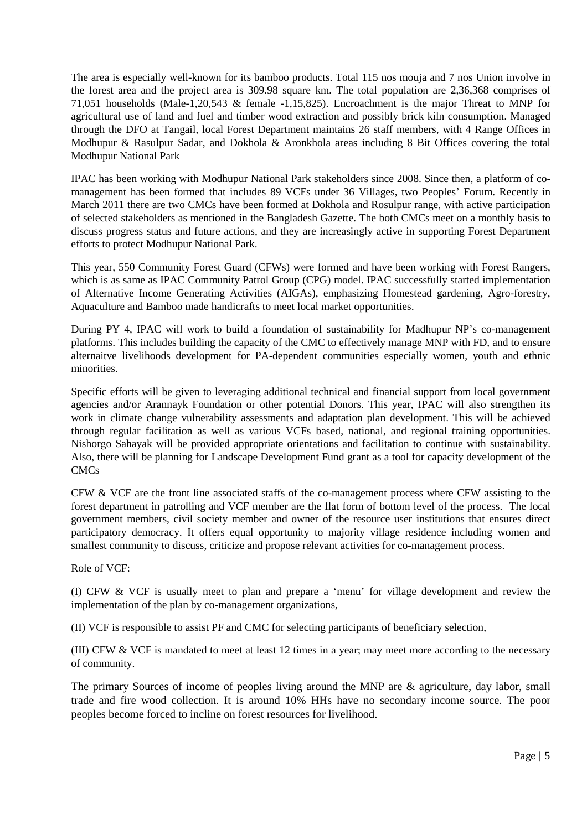The area is especially well-known for its bamboo products. Total 115 nos mouja and 7 nos Union involve in the forest area and the project area is 309.98 square km. The total population are 2,36,368 comprises of 71,051 households (Male-1,20,543 & female -1,15,825). Encroachment is the major Threat to MNP for agricultural use of land and fuel and timber wood extraction and possibly brick kiln consumption. Managed through the DFO at Tangail, local Forest Department maintains 26 staff members, with 4 Range Offices in Modhupur & Rasulpur Sadar, and Dokhola & Aronkhola areas including 8 Bit Offices covering the total Modhupur National Park

IPAC has been working with Modhupur National Park stakeholders since 2008. Since then, a platform of comanagement has been formed that includes 89 VCFs under 36 Villages, two Peoples' Forum. Recently in March 2011 there are two CMCs have been formed at Dokhola and Rosulpur range, with active participation of selected stakeholders as mentioned in the Bangladesh Gazette. The both CMCs meet on a monthly basis to discuss progress status and future actions, and they are increasingly active in supporting Forest Department efforts to protect Modhupur National Park.

This year, 550 Community Forest Guard (CFWs) were formed and have been working with Forest Rangers, which is as same as IPAC Community Patrol Group (CPG) model. IPAC successfully started implementation of Alternative Income Generating Activities (AIGAs), emphasizing Homestead gardening, Agro-forestry, Aquaculture and Bamboo made handicrafts to meet local market opportunities.

During PY 4, IPAC will work to build a foundation of sustainability for Madhupur NP's co-management platforms. This includes building the capacity of the CMC to effectively manage MNP with FD, and to ensure alternaitve livelihoods development for PA-dependent communities especially women, youth and ethnic minorities.

Specific efforts will be given to leveraging additional technical and financial support from local government agencies and/or Arannayk Foundation or other potential Donors. This year, IPAC will also strengthen its work in climate change vulnerability assessments and adaptation plan development. This will be achieved through regular facilitation as well as various VCFs based, national, and regional training opportunities. Nishorgo Sahayak will be provided appropriate orientations and facilitation to continue with sustainability. Also, there will be planning for Landscape Development Fund grant as a tool for capacity development of the CMCs

CFW & VCF are the front line associated staffs of the co-management process where CFW assisting to the forest department in patrolling and VCF member are the flat form of bottom level of the process. The local government members, civil society member and owner of the resource user institutions that ensures direct participatory democracy. It offers equal opportunity to majority village residence including women and smallest community to discuss, criticize and propose relevant activities for co-management process.

Role of VCF:

(I) CFW & VCF is usually meet to plan and prepare a 'menu' for village development and review the implementation of the plan by co-management organizations,

(II) VCF is responsible to assist PF and CMC for selecting participants of beneficiary selection,

(III) CFW & VCF is mandated to meet at least 12 times in a year; may meet more according to the necessary of community.

The primary Sources of income of peoples living around the MNP are & agriculture, day labor, small trade and fire wood collection. It is around 10% HHs have no secondary income source. The poor peoples become forced to incline on forest resources for livelihood.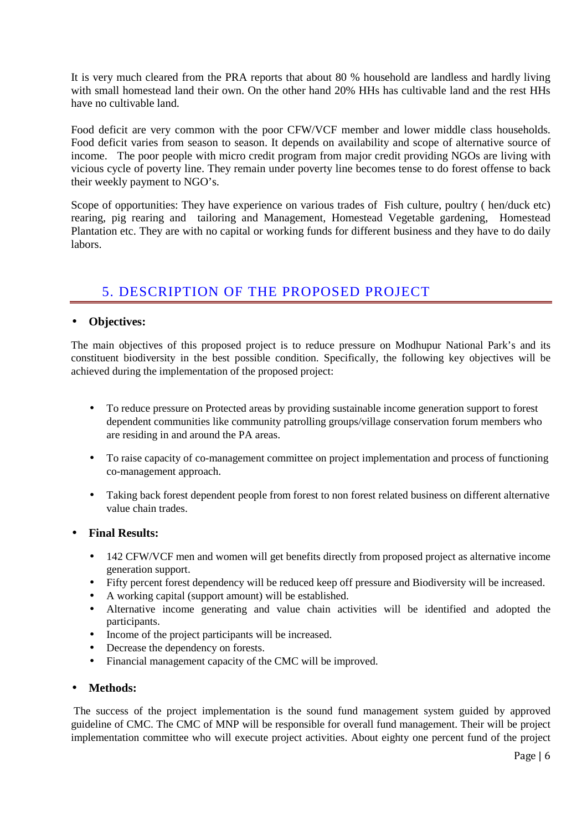It is very much cleared from the PRA reports that about 80 % household are landless and hardly living with small homestead land their own. On the other hand 20% HHs has cultivable land and the rest HHs have no cultivable land.

Food deficit are very common with the poor CFW/VCF member and lower middle class households. Food deficit varies from season to season. It depends on availability and scope of alternative source of income. The poor people with micro credit program from major credit providing NGOs are living with vicious cycle of poverty line. They remain under poverty line becomes tense to do forest offense to back their weekly payment to NGO's.

Scope of opportunities: They have experience on various trades of Fish culture, poultry ( hen/duck etc) rearing, pig rearing and tailoring and Management, Homestead Vegetable gardening, Homestead Plantation etc. They are with no capital or working funds for different business and they have to do daily labors.

## 5. DESCRIPTION OF THE PROPOSED PROJECT

#### • **Objectives:**

The main objectives of this proposed project is to reduce pressure on Modhupur National Park's and its constituent biodiversity in the best possible condition. Specifically, the following key objectives will be achieved during the implementation of the proposed project:

- To reduce pressure on Protected areas by providing sustainable income generation support to forest dependent communities like community patrolling groups/village conservation forum members who are residing in and around the PA areas.
- To raise capacity of co-management committee on project implementation and process of functioning co-management approach.
- Taking back forest dependent people from forest to non forest related business on different alternative value chain trades.

#### • **Final Results:**

- 142 CFW/VCF men and women will get benefits directly from proposed project as alternative income generation support.
- Fifty percent forest dependency will be reduced keep off pressure and Biodiversity will be increased.
- A working capital (support amount) will be established.
- Alternative income generating and value chain activities will be identified and adopted the participants.
- Income of the project participants will be increased.
- Decrease the dependency on forests.
- Financial management capacity of the CMC will be improved.

#### • **Methods:**

 The success of the project implementation is the sound fund management system guided by approved guideline of CMC. The CMC of MNP will be responsible for overall fund management. Their will be project implementation committee who will execute project activities. About eighty one percent fund of the project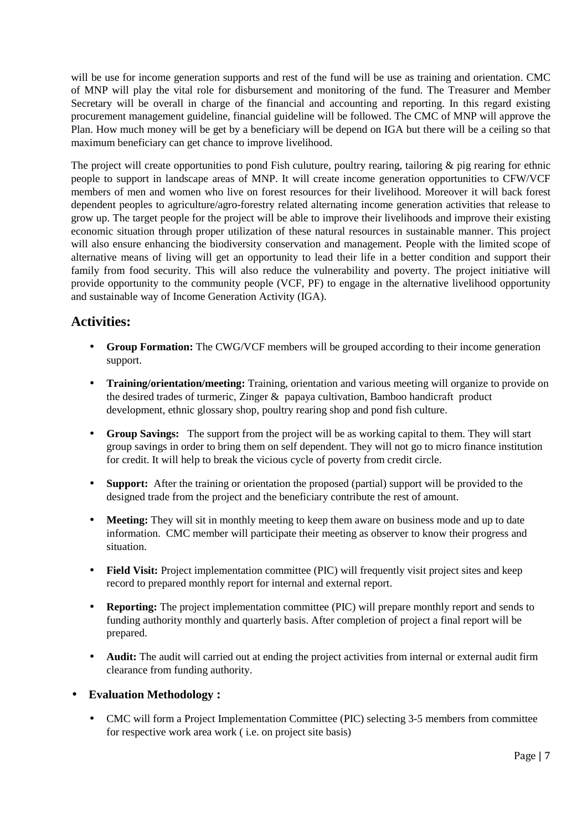will be use for income generation supports and rest of the fund will be use as training and orientation. CMC of MNP will play the vital role for disbursement and monitoring of the fund. The Treasurer and Member Secretary will be overall in charge of the financial and accounting and reporting. In this regard existing procurement management guideline, financial guideline will be followed. The CMC of MNP will approve the Plan. How much money will be get by a beneficiary will be depend on IGA but there will be a ceiling so that maximum beneficiary can get chance to improve livelihood.

The project will create opportunities to pond Fish culuture, poultry rearing, tailoring  $\&$  pig rearing for ethnic people to support in landscape areas of MNP. It will create income generation opportunities to CFW/VCF members of men and women who live on forest resources for their livelihood. Moreover it will back forest dependent peoples to agriculture/agro-forestry related alternating income generation activities that release to grow up. The target people for the project will be able to improve their livelihoods and improve their existing economic situation through proper utilization of these natural resources in sustainable manner. This project will also ensure enhancing the biodiversity conservation and management. People with the limited scope of alternative means of living will get an opportunity to lead their life in a better condition and support their family from food security. This will also reduce the vulnerability and poverty. The project initiative will provide opportunity to the community people (VCF, PF) to engage in the alternative livelihood opportunity and sustainable way of Income Generation Activity (IGA).

### **Activities:**

- **Group Formation:** The CWG/VCF members will be grouped according to their income generation support.
- **Training/orientation/meeting:** Training, orientation and various meeting will organize to provide on the desired trades of turmeric, Zinger & papaya cultivation, Bamboo handicraft product development, ethnic glossary shop, poultry rearing shop and pond fish culture.
- **Group Savings:** The support from the project will be as working capital to them. They will start group savings in order to bring them on self dependent. They will not go to micro finance institution for credit. It will help to break the vicious cycle of poverty from credit circle.
- **Support:** After the training or orientation the proposed (partial) support will be provided to the designed trade from the project and the beneficiary contribute the rest of amount.
- **Meeting:** They will sit in monthly meeting to keep them aware on business mode and up to date information. CMC member will participate their meeting as observer to know their progress and situation.
- **Field Visit:** Project implementation committee (PIC) will frequently visit project sites and keep record to prepared monthly report for internal and external report.
- **Reporting:** The project implementation committee (PIC) will prepare monthly report and sends to funding authority monthly and quarterly basis. After completion of project a final report will be prepared.
- **Audit:** The audit will carried out at ending the project activities from internal or external audit firm clearance from funding authority.
- **Evaluation Methodology :** 
	- CMC will form a Project Implementation Committee (PIC) selecting 3-5 members from committee for respective work area work ( i.e. on project site basis)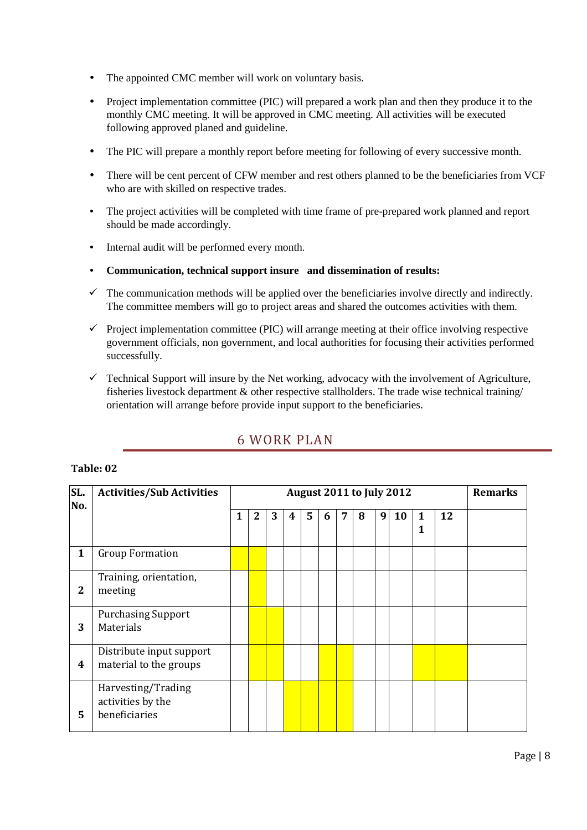- The appointed CMC member will work on voluntary basis.
- Project implementation committee (PIC) will prepared a work plan and then they produce it to the monthly CMC meeting. It will be approved in CMC meeting. All activities will be executed following approved planed and guideline.
- The PIC will prepare a monthly report before meeting for following of every successive month.
- There will be cent percent of CFW member and rest others planned to be the beneficiaries from VCF who are with skilled on respective trades.
- The project activities will be completed with time frame of pre-prepared work planned and report should be made accordingly.
- Internal audit will be performed every month.
- **Communication, technical support insure and dissemination of results:**
- $\checkmark$  The communication methods will be applied over the beneficiaries involve directly and indirectly. The committee members will go to project areas and shared the outcomes activities with them.
- $\checkmark$  Project implementation committee (PIC) will arrange meeting at their office involving respective government officials, non government, and local authorities for focusing their activities performed successfully.
- $\checkmark$  Technical Support will insure by the Net working, advocacy with the involvement of Agriculture, fisheries livestock department & other respective stallholders. The trade wise technical training/ orientation will arrange before provide input support to the beneficiaries.

## 6 WORK PLAN

#### **Table: 02**

| SL.<br>No.       | <b>Activities/Sub Activities</b>                         | <b>August 2011 to July 2012</b> |                |   |   |   |   | <b>Remarks</b> |   |                  |    |        |    |  |
|------------------|----------------------------------------------------------|---------------------------------|----------------|---|---|---|---|----------------|---|------------------|----|--------|----|--|
|                  |                                                          | 1                               | $\overline{2}$ | 3 | 4 | 5 | 6 | $\overline{7}$ | 8 | $\boldsymbol{9}$ | 10 | 1<br>1 | 12 |  |
| $\mathbf{1}$     | <b>Group Formation</b>                                   |                                 |                |   |   |   |   |                |   |                  |    |        |    |  |
| $\boldsymbol{2}$ | Training, orientation,<br>meeting                        |                                 |                |   |   |   |   |                |   |                  |    |        |    |  |
| 3                | <b>Purchasing Support</b><br>Materials                   |                                 |                |   |   |   |   |                |   |                  |    |        |    |  |
| 4                | Distribute input support<br>material to the groups       |                                 |                |   |   |   |   |                |   |                  |    |        |    |  |
| 5                | Harvesting/Trading<br>activities by the<br>beneficiaries |                                 |                |   |   |   |   |                |   |                  |    |        |    |  |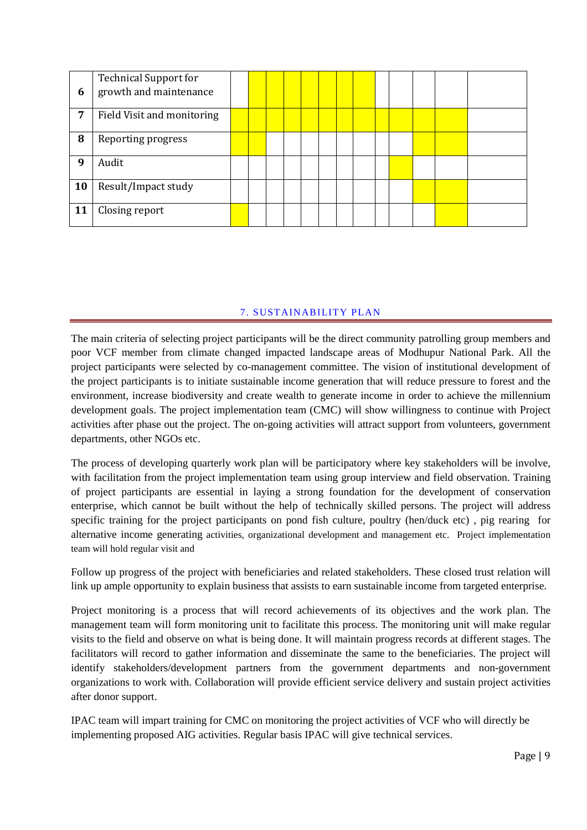| 6  | <b>Technical Support for</b><br>growth and maintenance |  |  |  |  |  |  |  |
|----|--------------------------------------------------------|--|--|--|--|--|--|--|
| 7  | Field Visit and monitoring                             |  |  |  |  |  |  |  |
| 8  | Reporting progress                                     |  |  |  |  |  |  |  |
| 9  | Audit                                                  |  |  |  |  |  |  |  |
| 10 | Result/Impact study                                    |  |  |  |  |  |  |  |
| 11 | Closing report                                         |  |  |  |  |  |  |  |

#### 7. SUSTAINABILITY PLAN

The main criteria of selecting project participants will be the direct community patrolling group members and poor VCF member from climate changed impacted landscape areas of Modhupur National Park. All the project participants were selected by co-management committee. The vision of institutional development of the project participants is to initiate sustainable income generation that will reduce pressure to forest and the environment, increase biodiversity and create wealth to generate income in order to achieve the millennium development goals. The project implementation team (CMC) will show willingness to continue with Project activities after phase out the project. The on-going activities will attract support from volunteers, government departments, other NGOs etc.

The process of developing quarterly work plan will be participatory where key stakeholders will be involve, with facilitation from the project implementation team using group interview and field observation. Training of project participants are essential in laying a strong foundation for the development of conservation enterprise, which cannot be built without the help of technically skilled persons. The project will address specific training for the project participants on pond fish culture, poultry (hen/duck etc) , pig rearing for alternative income generating activities, organizational development and management etc. Project implementation team will hold regular visit and

Follow up progress of the project with beneficiaries and related stakeholders. These closed trust relation will link up ample opportunity to explain business that assists to earn sustainable income from targeted enterprise.

Project monitoring is a process that will record achievements of its objectives and the work plan. The management team will form monitoring unit to facilitate this process. The monitoring unit will make regular visits to the field and observe on what is being done. It will maintain progress records at different stages. The facilitators will record to gather information and disseminate the same to the beneficiaries. The project will identify stakeholders/development partners from the government departments and non-government organizations to work with. Collaboration will provide efficient service delivery and sustain project activities after donor support.

IPAC team will impart training for CMC on monitoring the project activities of VCF who will directly be implementing proposed AIG activities. Regular basis IPAC will give technical services.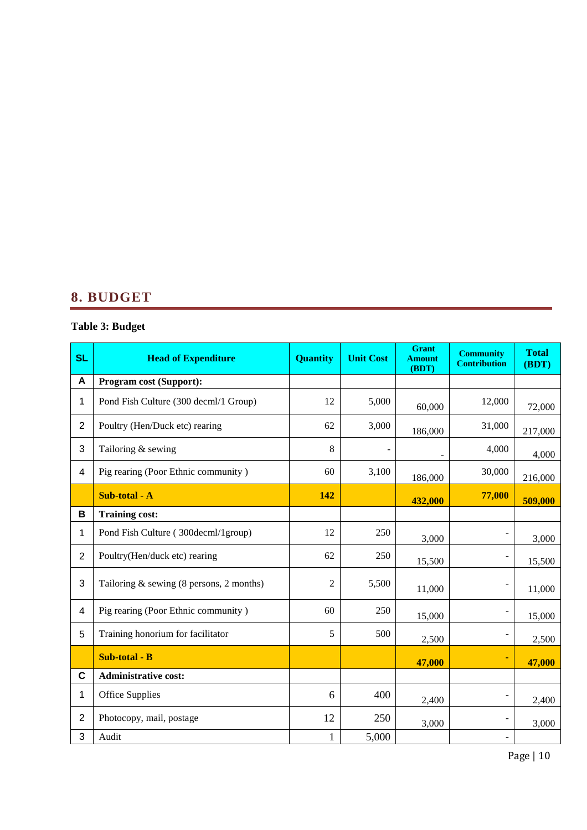## **8. BUDGET**

## **Table 3: Budget**

| <b>SL</b>      | <b>Head of Expenditure</b>                 | <b>Quantity</b> | <b>Unit Cost</b> | <b>Grant</b><br><b>Amount</b><br>(BDT) | <b>Community</b><br><b>Contribution</b> | <b>Total</b><br>(BDT) |
|----------------|--------------------------------------------|-----------------|------------------|----------------------------------------|-----------------------------------------|-----------------------|
| A              | <b>Program cost (Support):</b>             |                 |                  |                                        |                                         |                       |
| 1              | Pond Fish Culture (300 decml/1 Group)      | 12              | 5,000            | 60,000                                 | 12,000                                  | 72,000                |
| $\overline{2}$ | Poultry (Hen/Duck etc) rearing             | 62              | 3,000            | 186,000                                | 31,000                                  | 217,000               |
| 3              | Tailoring & sewing                         | 8               |                  |                                        | 4,000                                   | 4,000                 |
| 4              | Pig rearing (Poor Ethnic community)        | 60              | 3,100            | 186,000                                | 30,000                                  | 216,000               |
|                | Sub-total - A                              | 142             |                  | 432,000                                | 77,000                                  | 509,000               |
| B              | <b>Training cost:</b>                      |                 |                  |                                        |                                         |                       |
| 1              | Pond Fish Culture (300decml/1group)        | 12              | 250              | 3,000                                  |                                         | 3,000                 |
| $\overline{2}$ | Poultry(Hen/duck etc) rearing              | 62              | 250              | 15,500                                 |                                         | 15,500                |
| 3              | Tailoring $&$ sewing (8 persons, 2 months) | 2               | 5,500            | 11,000                                 |                                         | 11,000                |
| 4              | Pig rearing (Poor Ethnic community)        | 60              | 250              | 15,000                                 | $\overline{\phantom{m}}$                | 15,000                |
| 5              | Training honorium for facilitator          | 5               | 500              | 2,500                                  | $\overline{\phantom{a}}$                | 2,500                 |
|                | Sub-total - B                              |                 |                  | 47,000                                 |                                         | 47,000                |
| C              | <b>Administrative cost:</b>                |                 |                  |                                        |                                         |                       |
| 1              | Office Supplies                            | 6               | 400              | 2,400                                  |                                         | 2,400                 |
| 2              | Photocopy, mail, postage                   | 12              | 250              | 3,000                                  |                                         | 3,000                 |
| 3              | Audit                                      | 1               | 5,000            |                                        |                                         |                       |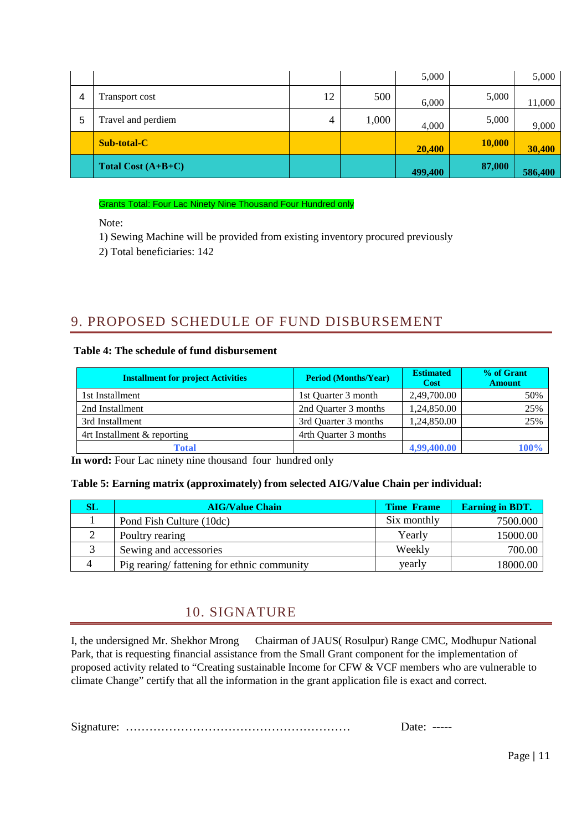|   |                      |    |       | 5,000   |        | 5,000   |
|---|----------------------|----|-------|---------|--------|---------|
| 4 | Transport cost       | 12 | 500   | 6,000   | 5,000  | 11,000  |
| 5 | Travel and perdiem   | 4  | 1,000 | 4,000   | 5,000  | 9,000   |
|   | <b>Sub-total-C</b>   |    |       | 20,400  | 10,000 | 30,400  |
|   | Total Cost $(A+B+C)$ |    |       | 499,400 | 87,000 | 586,400 |

#### Grants Total: Four Lac Ninety Nine Thousand Four Hundred only

Note:

1) Sewing Machine will be provided from existing inventory procured previously

2) Total beneficiaries: 142

## 9. PROPOSED SCHEDULE OF FUND DISBURSEMENT

#### **Table 4: The schedule of fund disbursement**

| <b>Installment for project Activities</b> | <b>Period (Months/Year)</b> | <b>Estimated</b><br><b>Cost</b> | % of Grant<br><b>Amount</b> |
|-------------------------------------------|-----------------------------|---------------------------------|-----------------------------|
| 1st Installment                           | 1st Quarter 3 month         | 2,49,700.00                     | 50%                         |
| 2nd Installment                           | 2nd Quarter 3 months        | 1,24,850.00                     | 25%                         |
| 3rd Installment                           | 3rd Quarter 3 months        | 1,24,850.00                     | 25%                         |
| 4rt Installment & reporting               | 4rth Quarter 3 months       |                                 |                             |
| Total                                     |                             | 4,99,400.00                     | 100%                        |

In word: Four Lac ninety nine thousand four hundred only

#### **Table 5: Earning matrix (approximately) from selected AIG/Value Chain per individual:**

| SL | <b>AIG/Value Chain</b>                     | <b>Time Frame</b> | <b>Earning in BDT.</b> |
|----|--------------------------------------------|-------------------|------------------------|
|    | Pond Fish Culture (10dc)                   | Six monthly       | 7500.000               |
|    | Poultry rearing                            | Yearly            | 15000.00               |
|    | Sewing and accessories                     | Weekly            | 700.00                 |
| 4  | Pig rearing/fattening for ethnic community | yearly            | 18000.00               |

### 10. SIGNATURE

I, the undersigned Mr. Shekhor Mrong Chairman of JAUS( Rosulpur) Range CMC, Modhupur National Park, that is requesting financial assistance from the Small Grant component for the implementation of proposed activity related to "Creating sustainable Income for CFW & VCF members who are vulnerable to climate Change" certify that all the information in the grant application file is exact and correct.

Signature: ………………………………………………… Date: -----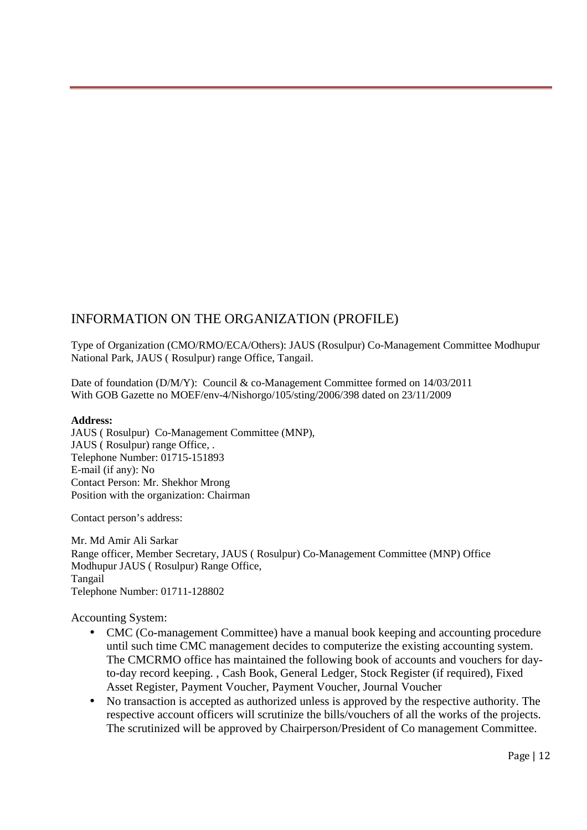### INFORMATION ON THE ORGANIZATION (PROFILE)

Type of Organization (CMO/RMO/ECA/Others): JAUS (Rosulpur) Co-Management Committee Modhupur National Park, JAUS ( Rosulpur) range Office, Tangail.

Date of foundation (D/M/Y): Council & co-Management Committee formed on 14/03/2011 With GOB Gazette no MOEF/env-4/Nishorgo/105/sting/2006/398 dated on 23/11/2009

#### **Address:**

JAUS ( Rosulpur) Co-Management Committee (MNP), JAUS ( Rosulpur) range Office, . Telephone Number: 01715-151893 E-mail (if any): No Contact Person: Mr. Shekhor Mrong Position with the organization: Chairman

Contact person's address:

Mr. Md Amir Ali Sarkar Range officer, Member Secretary, JAUS ( Rosulpur) Co-Management Committee (MNP) Office Modhupur JAUS ( Rosulpur) Range Office, Tangail Telephone Number: 01711-128802

Accounting System:

- CMC (Co-management Committee) have a manual book keeping and accounting procedure until such time CMC management decides to computerize the existing accounting system. The CMCRMO office has maintained the following book of accounts and vouchers for dayto-day record keeping. , Cash Book, General Ledger, Stock Register (if required), Fixed Asset Register, Payment Voucher, Payment Voucher, Journal Voucher
- No transaction is accepted as authorized unless is approved by the respective authority. The respective account officers will scrutinize the bills/vouchers of all the works of the projects. The scrutinized will be approved by Chairperson/President of Co management Committee.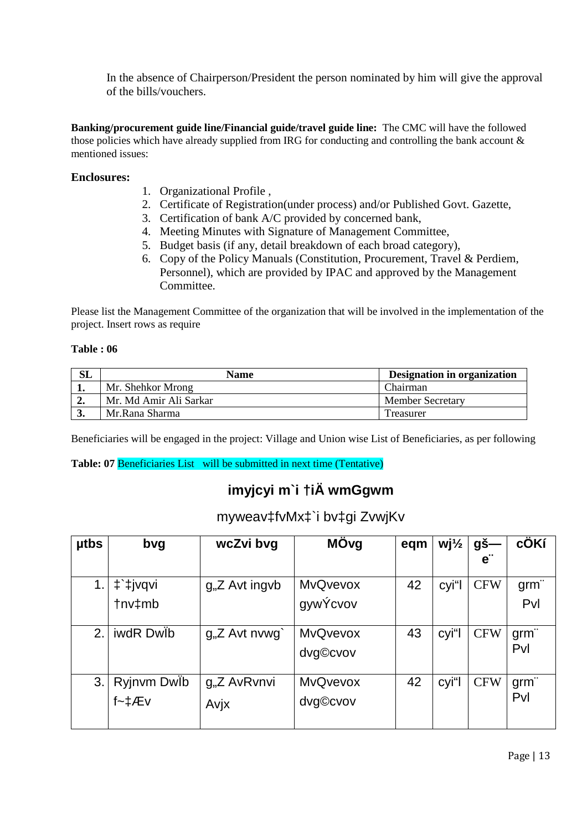In the absence of Chairperson/President the person nominated by him will give the approval of the bills/vouchers.

**Banking/procurement guide line/Financial guide/travel guide line:** The CMC will have the followed those policies which have already supplied from IRG for conducting and controlling the bank account & mentioned issues:

#### **Enclosures:**

- 1. Organizational Profile ,
- 2. Certificate of Registration(under process) and/or Published Govt. Gazette,
- 3. Certification of bank A/C provided by concerned bank,
- 4. Meeting Minutes with Signature of Management Committee,
- 5. Budget basis (if any, detail breakdown of each broad category),
- 6. Copy of the Policy Manuals (Constitution, Procurement, Travel & Perdiem, Personnel), which are provided by IPAC and approved by the Management Committee.

Please list the Management Committee of the organization that will be involved in the implementation of the project. Insert rows as require

#### **Table : 06**

| SL  | Name                   | Designation in organization |
|-----|------------------------|-----------------------------|
|     | Mr. Shehkor Mrong      | Chairman                    |
| ە ب | Mr. Md Amir Ali Sarkar | <b>Member Secretary</b>     |
|     | Mr.Rana Sharma         | Treasurer                   |

Beneficiaries will be engaged in the project: Village and Union wise List of Beneficiaries, as per following

**Table: 07** Beneficiaries List will be submitted in next time (Tentative)

## **imyjcyi m`i †iÄ wmGgwm**

### myweav‡fvMx‡`i bv‡gi ZvwjKv

| <b>utbs</b> | bvg                               | wcZvi bvg                         | MÖvg                        | eqm | $Wj\frac{1}{2}$ | gš—<br>$e^{\cdot \cdot}$ | cÖKí           |
|-------------|-----------------------------------|-----------------------------------|-----------------------------|-----|-----------------|--------------------------|----------------|
| 1.          | #`‡jvqvi<br>tnv‡mb                | g <sub>1</sub> , Z Avt ingvb      | <b>MvQvevox</b><br>gywÝcvov | 42  | cyi"            | <b>CFW</b>               | $g$ rm"<br>Pvl |
| 2.          | iwdR Dwlb                         | $gnZ$ Avt nvwg                    | <b>MvQvevox</b><br>dvg©cvov | 43  | cyi"l           | <b>CFW</b>               | grm"<br>Pvl    |
| 3.          | Ryjnvm Dwlb<br>$f - \sharp A E V$ | g <sub>1</sub> ,Z AvRvnvi<br>Avjx | <b>MvQvevox</b><br>dvg©cvov | 42  | cyi"l           | <b>CFW</b>               | $g$ rm"<br>Pvl |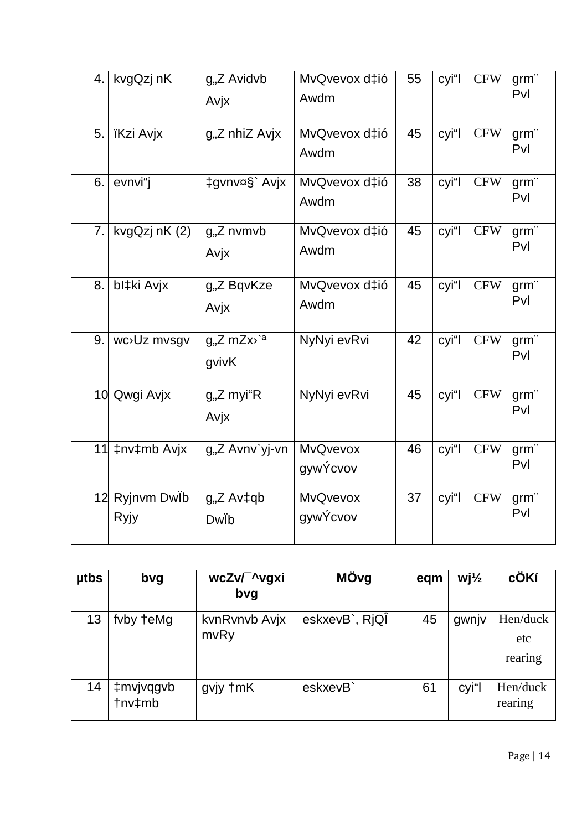| 4. | kvgQzj nK                   | g"Z Avidvb<br>Avjx                             | MvQvevox d‡ió<br>Awdm       | 55 | cyi"l | <b>CFW</b> | grm"<br>Pvl    |
|----|-----------------------------|------------------------------------------------|-----------------------------|----|-------|------------|----------------|
| 5. | <b>ïKzi Avjx</b>            | $gnZ$ nhiZ Avjx                                | MvQvevox d‡ió<br>Awdm       | 45 | cyi"l | <b>CFW</b> | grm"<br>Pvl    |
| 6. | evnvi"j                     | ‡gvnv¤§` Avjx                                  | MvQvevox d‡ió<br>Awdm       | 38 | cyi"l | <b>CFW</b> | $g$ rm"<br>Pvl |
| 7. | kvgQzj nK (2)               | g"Z nvmvb<br>Avjx                              | MvQvevox d‡ió<br>Awdm       | 45 | cyi"l | <b>CFW</b> | grm"<br>Pvl    |
| 8. | bl‡ki Avjx                  | g"Z BqvKze<br>Avjx                             | MvQvevox d‡ió<br>Awdm       | 45 | cyi"l | <b>CFW</b> | grm"<br>Pvl    |
| 9. | wc <sup>&gt;</sup> Uz mvsgv | $g_{\nu}Z$ mZx $\rangle$ <sup>a</sup><br>gvivK | NyNyi evRvi                 | 42 | cyi"l | <b>CFW</b> | $g$ rm"<br>Pvl |
|    | 10 Qwgi Avjx                | g"Z myi"R<br>Avjx                              | NyNyi evRvi                 | 45 | cyi"l | <b>CFW</b> | grm"<br>Pvl    |
| 11 | ‡nv‡mb Avjx                 | g"Z Avnv`yj-vn                                 | <b>MvQvevox</b><br>gywÝcvov | 46 | cyi"l | <b>CFW</b> | grm"<br>Pvl    |
| 12 | Ryjnvm Dwlb<br>Ryjy         | $gnZ$ Av $\ddagger$ qb<br>Dwib                 | <b>MvQvevox</b><br>gywÝcvov | 37 | cyi"l | <b>CFW</b> | $g$ rm"<br>Pvl |

| <b>utbs</b> | bvg                 | wcZv/ ^vgxi<br>bvg    | MÖvg           | eqm | $Wj\frac{1}{2}$ | cÖKí                       |
|-------------|---------------------|-----------------------|----------------|-----|-----------------|----------------------------|
| 13          | fvby teMg           | kvnRvnvb Avjx<br>mvRy | eskxevB`, RjQI | 45  | gwnjv           | Hen/duck<br>etc<br>rearing |
| 14          | ‡mvjvqgvb<br>tnv‡mb | gvjy †mK              | eskxevB        | 61  | cyi"l           | Hen/duck<br>rearing        |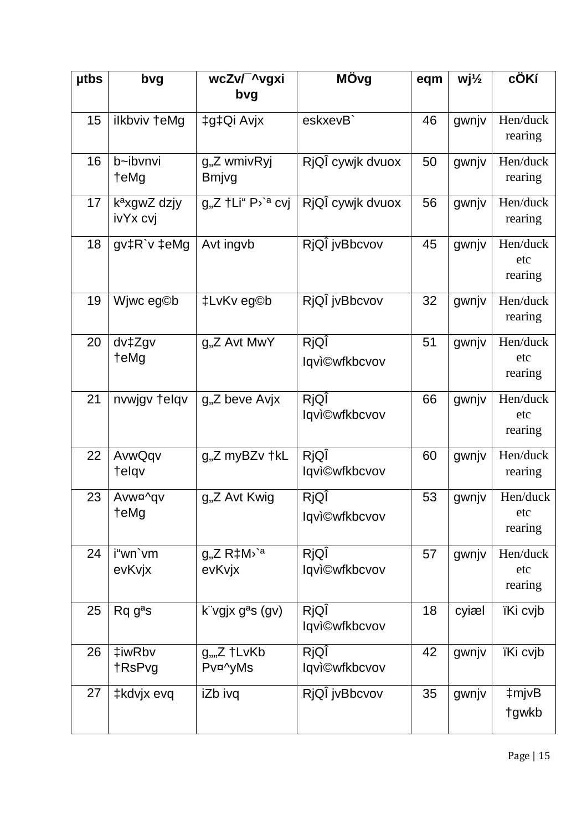| <b>utbs</b> | bvg                                  | wcZv/ ^vgxi                                          | MÖvg                         | eqm | $Wj\frac{1}{2}$ | cÖKí                       |
|-------------|--------------------------------------|------------------------------------------------------|------------------------------|-----|-----------------|----------------------------|
|             |                                      | bvg                                                  |                              |     |                 |                            |
| 15          | ilkbviv †eMg                         | ‡g‡Qi Avjx                                           | eskxevB`                     | 46  | gwnjv           | Hen/duck<br>rearing        |
| 16          | b~ibvnvi<br>teMg                     | g"Z wmivRyj<br><b>Bmjvg</b>                          | RjQÎ cywjk dvuox             | 50  | gwnjv           | Hen/duck<br>rearing        |
| 17          | k <sup>a</sup> xgwZ dzjy<br>ivYx cvj | g"Z †Li" P <sup>,`a</sup> cvj                        | RjQÎ cywjk dvuox             | 56  | gwnjv           | Hen/duck<br>rearing        |
| 18          | gv‡R`v ‡eMg                          | Avt ingvb                                            | RjQÎ jvBbcvov                | 45  | gwnjv           | Hen/duck<br>etc<br>rearing |
| 19          | Wjwc eg©b                            | ‡LvKv eg©b                                           | RjQÎ jvBbcvov                | 32  | gwnjv           | Hen/duck<br>rearing        |
| 20          | dv‡Zgv<br>teMg                       | g"Z Avt MwY                                          | RjQÎ<br><b>Iqvi©wfkbcvov</b> | 51  | gwnjv           | Hen/duck<br>etc<br>rearing |
| 21          | nvwjgv telqv                         | g"Z beve Avjx                                        | RjQÎ<br><b>Iqvi©wfkbcvov</b> | 66  | gwnjv           | Hen/duck<br>etc<br>rearing |
| 22          | AvwQqv<br>telqv                      | g"Z myBZv †kL                                        | RjQÎ<br><b>Iqvi©wfkbcvov</b> | 60  | gwnjv           | Hen/duck<br>rearing        |
| 23          | Avw¤^gv<br>†eMg                      | g <sub>"</sub> Z Avt Kwig                            | RjQÎ<br>lqvi©wfkbcvov        | 53  | gwnjv           | Hen/duck<br>etc<br>rearing |
| 24          | i"wn`vm<br>evKvjx                    | $g_{\nu}Z R \ddagger M^{\nu}$ <sup>a</sup><br>evKvjx | RjQÎ<br><b>Iqvi©wfkbcvov</b> | 57  | gwnjv           | Hen/duck<br>etc<br>rearing |
| 25          | $Rqg^a s$                            | k vgjx g <sup>a</sup> s (gv)                         | RjQÎ<br><b>Iqvi©wfkbcvov</b> | 18  | cyiæl           | ïKi cvjb                   |
| 26          | ‡iwRbv<br>†RsPvg                     | $g_{\nu}$ Z †LvKb<br>Pv¤^yMs                         | RjQÎ<br>lqvi©wfkbcvov        | 42  | gwnjv           | ïKi cvjb                   |
| 27          | ‡kdvjx evq                           | iZb ivq                                              | RjQÎ jvBbcvov                | 35  | gwnjv           | ‡mjvB<br>tgwkb             |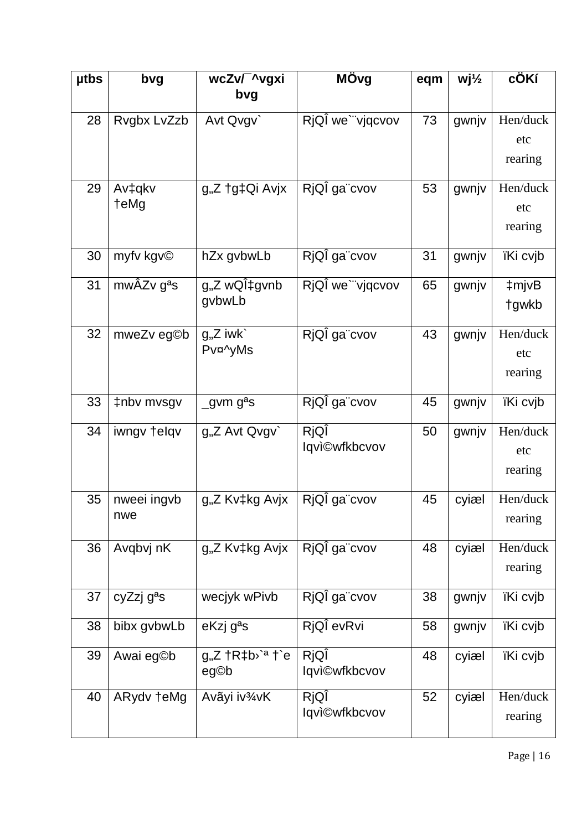| <b>utbs</b> | bvg                    | wcZv/ ~vgxi                                                                  | MÖvg                 | eqm | $Wj\frac{1}{2}$ | cÖKí            |
|-------------|------------------------|------------------------------------------------------------------------------|----------------------|-----|-----------------|-----------------|
|             |                        | bvg                                                                          |                      |     |                 |                 |
| 28          | Rvgbx LvZzb            | Avt Qvgv                                                                     | RjQÎ we`"vjqcvov     | 73  | gwnjv           | Hen/duck        |
|             |                        |                                                                              |                      |     |                 | etc             |
|             |                        |                                                                              |                      |     |                 | rearing         |
| 29          | Av‡qkv                 | g"Z †g‡Qi Avjx                                                               | RjQÎ ga"cvov         | 53  | gwnjv           | Hen/duck        |
|             | teMg                   |                                                                              |                      |     |                 | etc             |
|             |                        |                                                                              |                      |     |                 | rearing         |
| 30          |                        |                                                                              | RjQÎ ga"cvov         | 31  |                 |                 |
|             | myfv kgv©              | hZx gvbwLb                                                                   |                      |     | gwnjv           | <i>iKi</i> cvib |
| 31          | mwÂZv g <sup>a</sup> s | g <sub>1</sub> ,Z wQl <sup>‡</sup> gvnb                                      | RjQÎ we`"vjqcvov     | 65  | gwnjv           | ‡mjvB           |
|             |                        | gybwLb                                                                       |                      |     |                 | tgwkb           |
| 32          | mweZv eg©b             | $gnZ$ iwk                                                                    | RjQÎ ga cvov         | 43  | gwnjv           | Hen/duck        |
|             |                        | Pv¤^yMs                                                                      |                      |     |                 | etc             |
|             |                        |                                                                              |                      |     |                 | rearing         |
| 33          | ‡nbv mvsgv             | _gvm g <sup>a</sup> s                                                        | RjQÎ ga"cvov         | 45  | gwnjv           | ïKi cvjb        |
|             |                        |                                                                              |                      |     |                 |                 |
| 34          | iwngv telqv            | g"Z Avt Qvgv`                                                                | RjQÎ                 | 50  | gwnjv           | Hen/duck        |
|             |                        |                                                                              | <b>Iqvi©wfkbcvov</b> |     |                 | etc             |
|             |                        |                                                                              |                      |     |                 | rearing         |
| 35          | nweei ingvb            | g"Z Kv‡kg Avjx                                                               | RjQÎ ga"cvov         | 45  | cyiæl           | Hen/duck        |
|             | nwe                    |                                                                              |                      |     |                 | rearing         |
| 36          | Avqbvj nK              | g"Z Kv‡kg Avjx                                                               | RjQÎ ga cvov         | 48  | cyiæl           | Hen/duck        |
|             |                        |                                                                              |                      |     |                 | rearing         |
|             |                        |                                                                              |                      |     |                 |                 |
| 37          | cyZzj g <sup>a</sup> s | wecjyk wPivb                                                                 | RjQÎ ga cvov         | 38  | gwnjv           | ïKi cvjb        |
| 38          | bibx gvbwLb            | eKzj g <sup>a</sup> s                                                        | RjQÎ evRvi           | 58  | gwnjv           | ïKi cvjb        |
| 39          | Awai eg©b              | $g_{n}Z$ $\dagger$ R $\dagger$ b <sup><math>\cdot</math>a</sup> $\dagger$ `e | RjQÎ                 | 48  | cyiæl           | ïKi cvjb        |
|             |                        | eg©b                                                                         | <b>Iqvi©wfkbcvov</b> |     |                 |                 |
| 40          | ARydv teMg             | Avãyi iv <sup>3</sup> /4VK                                                   | RjQÎ                 | 52  | cyiæl           | Hen/duck        |
|             |                        |                                                                              | lqvi©wfkbcvov        |     |                 | rearing         |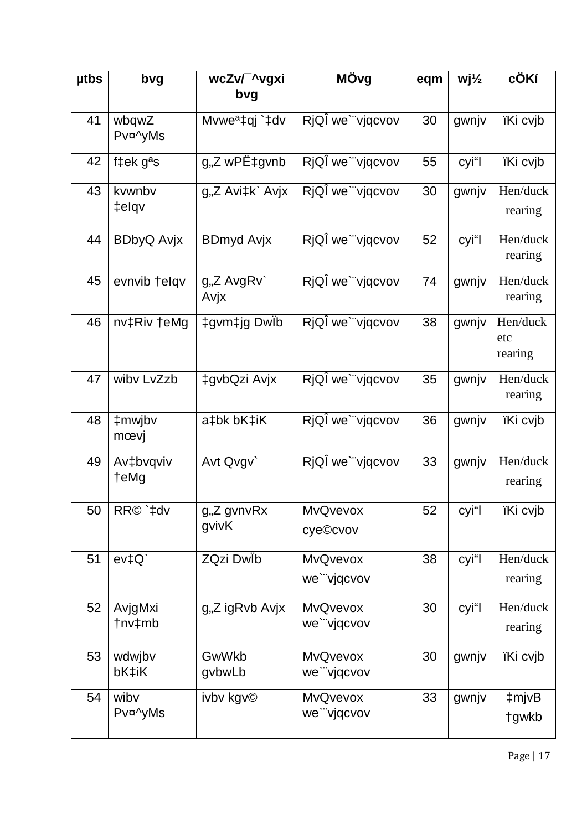| <b>utbs</b> | bvg               | wcZv/ ^vgxi<br>bvg               | MÖvg                           | eqm | $Wj\frac{1}{2}$ | cÖKí                       |
|-------------|-------------------|----------------------------------|--------------------------------|-----|-----------------|----------------------------|
| 41          | wbqwZ             |                                  | RjQÎ we`"vjqcvov               | 30  |                 |                            |
|             | Pv¤^yMs           | Mvwe <sup>a</sup> ‡qj `‡dv       |                                |     | gwnjv           | ïKi cvjb                   |
| 42          | f‡ek $gas$        | g"Z wPˇgvnb                      | RjQÎ we`"vjqcvov               | 55  | cyi"l           | ïKi cvjb                   |
| 43          | kvwnbv<br>‡elqv   | g"Z Avi‡k` Avjx                  | RjQÎ we`"vjqcvov               | 30  | gwnjv           | Hen/duck<br>rearing        |
| 44          | <b>BDbyQ Avjx</b> | <b>BDmyd Avjx</b>                | RjQÎ we`"vjqcvov               | 52  | cyi"l           | Hen/duck<br>rearing        |
| 45          | evnvib telqv      | g"Z AvgRv`<br>Avjx               | RjQÎ we`"vjqcvov               | 74  | gwnjv           | Hen/duck<br>rearing        |
| 46          | nv‡Riv †eMg       | ‡gvm‡jg DwÏb                     | RjQÎ we`"vjqcvov               | 38  | gwnjv           | Hen/duck<br>etc<br>rearing |
| 47          | wibv LvZzb        | ‡gvbQzi Avjx                     | RjQÎ we`"vjqcvov               | 35  | gwnjv           | Hen/duck<br>rearing        |
| 48          | ‡mwjbv<br>mœvj    | a‡bk bK‡iK                       | RjQÎ we`"vjqcvov               | 36  | gwnjv           | ïKi cvjb                   |
| 49          | Av‡bvqviv<br>teMg | Avt Qvgv                         | RjQI we`"vjqcvov               | 33  | gwnjv           | Hen/duck<br>rearing        |
| 50          | RR© `‡dv          | g <sub>"</sub> Z gvnvRx<br>gvivK | <b>MvQvevox</b><br>cye©cvov    | 52  | cyi"l           | ïKi cvjb                   |
| 51          | ev <sup>†</sup> Q | ZQzi Dwlb                        | <b>MvQvevox</b><br>we`"vjqcvov | 38  | cyi"l           | Hen/duck<br>rearing        |
| 52          | AvjgMxi<br>tnv‡mb | g"Z igRvb Avjx                   | <b>MvQvevox</b><br>we`"vjqcvov | 30  | cyi"l           | Hen/duck<br>rearing        |
| 53          | wdwjbv<br>bK‡iK   | GwWkb<br>gybwLb                  | <b>MvQvevox</b><br>we`"vjqcvov | 30  | gwnjv           | ïKi cvjb                   |
| 54          | wibv<br>Pv¤^yMs   | ivbv kgv©                        | <b>MvQvevox</b><br>we`"vjqcvov | 33  | gwnjv           | ‡mjvB<br>tgwkb             |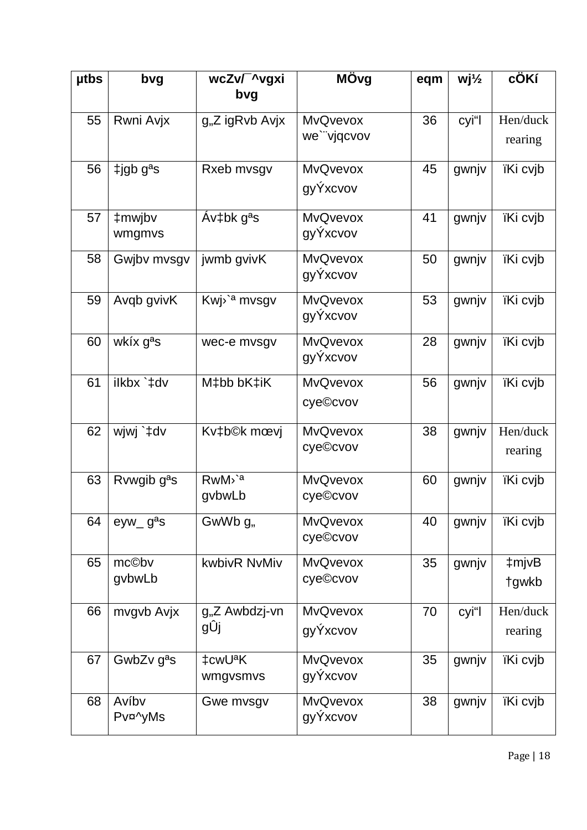| <b>utbs</b> | bvg                        | wcZv/ ^vgxi               | MÖvg            | eqm | $Wj\frac{1}{2}$ | cÖKí            |
|-------------|----------------------------|---------------------------|-----------------|-----|-----------------|-----------------|
|             |                            | bvg                       |                 |     |                 |                 |
| 55          | Rwni Avjx                  | g"Z igRvb Avjx            | <b>MvQvevox</b> | 36  | cyi"l           | Hen/duck        |
|             |                            |                           | we`"vjqcvov     |     |                 | rearing         |
| 56          | $\pm$ igb g <sup>a</sup> s | Rxeb mvsgv                | <b>MvQvevox</b> | 45  | gwnjv           | <b>iKi cvjb</b> |
|             |                            |                           | gyÝxcvov        |     |                 |                 |
| 57          | ‡mwjbv                     | $Av$ ‡bk g <sup>a</sup> s | <b>MvQvevox</b> | 41  | gwnjv           | ïKi cvjb        |
|             | wmgmvs                     |                           | gyÝxcvov        |     |                 |                 |
| 58          | Gwjbv mvsgv                | jwmb gvivK                | <b>MvQvevox</b> | 50  | gwnjv           | ïKi cvjb        |
|             |                            |                           | gyÝxcvov        |     |                 |                 |
| 59          | Avqb gvivK                 | Kwj <sup>o'a</sup> mysgy  | <b>MvQvevox</b> | 53  | gwnjv           | ïKi cvjb        |
|             |                            |                           | gyÝxcvov        |     |                 |                 |
| 60          | wkíx g <sup>a</sup> s      | wec-e mvsgv               | <b>MvQvevox</b> | 28  | gwnjv           | ïKi cvjb        |
|             |                            |                           | gyÝxcvov        |     |                 |                 |
| 61          | ilkbx `‡dv                 | M‡bb bK‡iK                | <b>MvQvevox</b> | 56  | gwnjv           | ïKi cvjb        |
|             |                            |                           | cye©cvov        |     |                 |                 |
| 62          | wjwj `‡dv                  | Kv‡b©k mœvj               | <b>MvQvevox</b> | 38  | gwnjv           | Hen/duck        |
|             |                            |                           | cye©cvov        |     |                 | rearing         |
| 63          | Rvwgib g <sup>a</sup> s    | RwM <sup>&gt;a</sup>      | <b>MvQvevox</b> | 60  | gwnjv           | ïKi cvjb        |
|             |                            | gybwLb                    | cye©cvov        |     |                 |                 |
| 64          | $eyw_g^2$                  | GwWb g <sub>n</sub>       | <b>MvQvevox</b> | 40  | gwnjv           | ïKi cvjb        |
|             |                            |                           | cye©cvov        |     |                 |                 |
| 65          | mc©bv                      | kwbivR NvMiv              | <b>MvQvevox</b> | 35  | gwnjv           | ‡mjvB           |
|             | gybwLb                     |                           | cye©cvov        |     |                 | tgwkb           |
| 66          | mvgvb Avjx                 | g"Z Awbdzj-vn             | <b>MvQvevox</b> | 70  | cyi"l           | Hen/duck        |
|             |                            | gÛj                       | gyÝxcvov        |     |                 | rearing         |
| 67          | GwbZv g <sup>a</sup> s     | ‡cwU <sup>a</sup> K       | <b>MvQvevox</b> | 35  | gwnjv           | ïKi cvjb        |
|             |                            | wmgvsmvs                  | gyÝxcvov        |     |                 |                 |
| 68          | Avíby                      | Gwe mysgy                 | <b>MvQvevox</b> | 38  | gwnjv           | ïKi cvjb        |
|             | Pv¤^yMs                    |                           | gyÝxcvov        |     |                 |                 |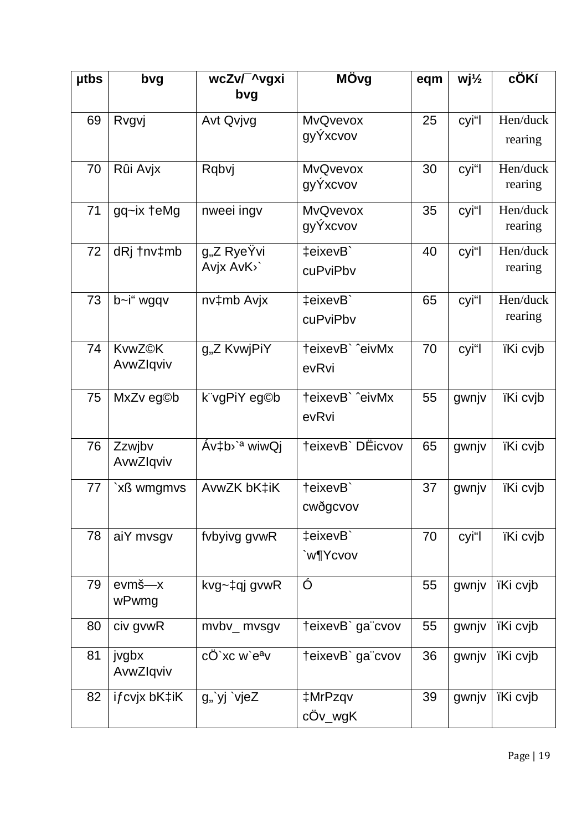| <b>utbs</b> | bvg           | wcZv/ ^vgxi               | MÖvg             | eqm | $Wj\frac{1}{2}$ | cÖKí            |
|-------------|---------------|---------------------------|------------------|-----|-----------------|-----------------|
|             |               | bvg                       |                  |     |                 |                 |
| 69          | Rvgvj         | Avt Qvjvg                 | <b>MvQvevox</b>  | 25  | cyi"l           | Hen/duck        |
|             |               |                           | gyYxcvov         |     |                 | rearing         |
| 70          | Rûi Avjx      | Rqbvj                     | <b>MvQvevox</b>  | 30  | cyi"l           | Hen/duck        |
|             |               |                           | gyÝxcvov         |     |                 | rearing         |
| 71          | gq~ix †eMg    | nweei ingv                | <b>MvQvevox</b>  | 35  | cyi"l           | Hen/duck        |
|             |               |                           | gyYxcvov         |     |                 | rearing         |
| 72          | dRj tnv‡mb    | g <sub>"</sub> Z RyeÝvi   | ‡eixevB`         | 40  | cyi"l           | Hen/duck        |
|             |               | Avjx AvK <sup>&gt;</sup>  | cuPviPbv         |     |                 | rearing         |
| 73          | b~i" wgqv     | nv‡mb Avjx                | ‡eixevB`         | 65  | cyi"l           | Hen/duck        |
|             |               |                           | cuPviPbv         |     |                 | rearing         |
| 74          | <b>KvwZ©K</b> | g"Z KvwjPiY               | teixevB` ^eivMx  | 70  | cyi"l           | ïKi cvjb        |
|             | AvwZlqviv     |                           | evRvi            |     |                 |                 |
| 75          | MxZv eg©b     | k"vgPiY eg©b              | teixevB` ^eivMx  | 55  | gwnjv           | ïKi cvjb        |
|             |               |                           | evRvi            |     |                 |                 |
| 76          | Zzwjbv        | Áv‡b <sup>,`a</sup> wiwQj | teixevB` DËicvov | 65  | gwnjv           | ïKi cvjb        |
|             | AvwZlqviv     |                           |                  |     |                 |                 |
| 77          | `xß wmgmvs    | AvwZK bK‡iK               | teixevB          | 37  | gwnjv           | <i>iKi</i> cvjb |
|             |               |                           | cwðgcvov         |     |                 |                 |
| 78          | aiY mvsgv     | fybyivg gywR              | ‡eixevB`         | 70  | cyi"l           | ïKi cvjb        |
|             |               |                           | `w¶Ycvov         |     |                 |                 |
| 79          | evmš-x        | kvg~‡qj gvwR              | Ó                | 55  | gwnjv           | ïKi cvjb        |
|             | wPwmg         |                           |                  |     |                 |                 |
| 80          | civ gvwR      | mvbv_ mvsgv               | teixevB` ga"cvov | 55  | gwnjv           | ïKi cvjb        |
| 81          | jvgbx         | cÖ`xc w`e <sup>a</sup> v  | teixevB` ga"cvov | 36  | gwnjv           | ïKi cvjb        |
|             | AvwZlqviv     |                           |                  |     |                 |                 |
| 82          | ifcvjx bK‡iK  | g"`yj `vjeZ               | ‡MrPzqv          | 39  | gwnjv           | ïKi cvjb        |
|             |               |                           | cÖv_wgK          |     |                 |                 |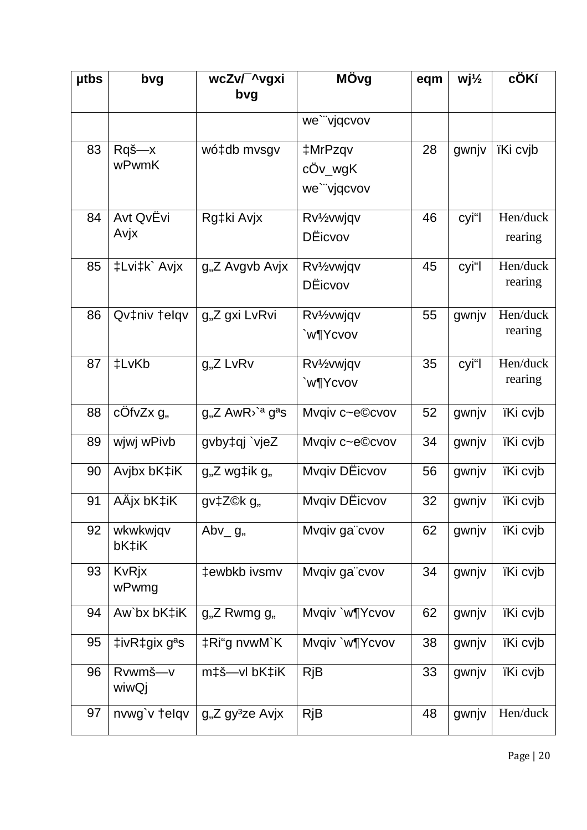| <b>utbs</b> | bvg                                            | wcZv/ ^vgxi<br>bvg                        | MÖvg                                                    | eqm | $Wj\frac{1}{2}$ | cÖKí                |
|-------------|------------------------------------------------|-------------------------------------------|---------------------------------------------------------|-----|-----------------|---------------------|
|             |                                                |                                           | we`"vjqcvov                                             |     |                 |                     |
| 83          | Rqš—x<br><b>wPwmK</b>                          | wó‡db mvsgv                               | ‡MrPzqv<br>cÖv_wgK<br>we`"vjqcvov                       | 28  | gwnjv           | ïKi cvjb            |
| 84          | Avt QvËvi<br>Avjx                              | Rg‡ki Avjx                                | Rv <sup>1</sup> / <sub>2</sub> vwjqv<br><b>D</b> Eicvov | 46  | cyi"l           | Hen/duck<br>rearing |
| 85          | ‡Lvi‡k` Avjx                                   | g"Z Avgvb Avjx                            | Rv <sup>1</sup> / <sub>2</sub> vwjqv<br>DËicvov         | 45  | cyi"l           | Hen/duck<br>rearing |
| 86          | Qv‡niv †elqv                                   | g"Z gxi LvRvi                             | Rv <sup>1</sup> / <sub>2</sub> vwjqv<br>`w¶Ycvov        | 55  | gwnjv           | Hen/duck<br>rearing |
| 87          | ‡LvKb                                          | $gnZ$ LvRv                                | Rv <sup>1</sup> / <sub>2</sub> vwjqv<br>`w¶Ycvov        | 35  | cyi"l           | Hen/duck<br>rearing |
| 88          | cÖfvZx g <sub>n</sub>                          | $gnZ AwR$ <sup>2</sup> g <sup>a</sup> s   | Mvqiv c~e©cvov                                          | 52  | gwnjv           | ïKi cvjb            |
| 89          | wjwj wPivb                                     | gvby‡qj `vjeZ                             | Mvqiv c~e©cvov                                          | 34  | gwnjv           | ïKi cvjb            |
| 90          | Avjbx bK‡iK                                    | g,,Z wg‡ik g,,                            | Mvqiv DEicvov                                           | 56  | gwnjv           | ïKi cvjb            |
| 91          | AÄjx bK‡iK                                     | gv‡Z©k g"                                 | Mvqiv DEicvov                                           | 32  | gwnjv           | ïKi cvjb            |
| 92          | wkwkwjqv<br>bK‡iK                              | Abv <sub>g</sub> ,                        | Mvqiv ga"cvov                                           | 62  | gwnjv           | ïKi cvjb            |
| 93          | <b>KvRjx</b><br>wPwmg                          | ‡ewbkb ivsmv                              | Mvqiv ga"cvov                                           | 34  | gwnjv           | ïKi cvjb            |
| 94          | Aw`bx bK‡iK                                    | $g_{n}Z$ Rwmg $g_{n}$                     | Mvqiv `w¶Ycvov                                          | 62  | gwnjv           | ïKi cvjb            |
| 95          | $\ddagger$ ivR $\ddagger$ gix g <sup>a</sup> s | ‡Ri"g nvwM`K                              | Mvqiv `w¶Ycvov                                          | 38  | gwnjv           | ïKi cvjb            |
| 96          | Rvwmš-v<br>wiwQj                               | m‡š—vl bK‡iK                              | <b>RjB</b>                                              | 33  | gwnjv           | ïKi cvjb            |
| 97          | nvwg`v †elqv                                   | g <sub>1</sub> ,Z gy <sup>3</sup> ze Avjx | <b>RjB</b>                                              | 48  | gwnjv           | Hen/duck            |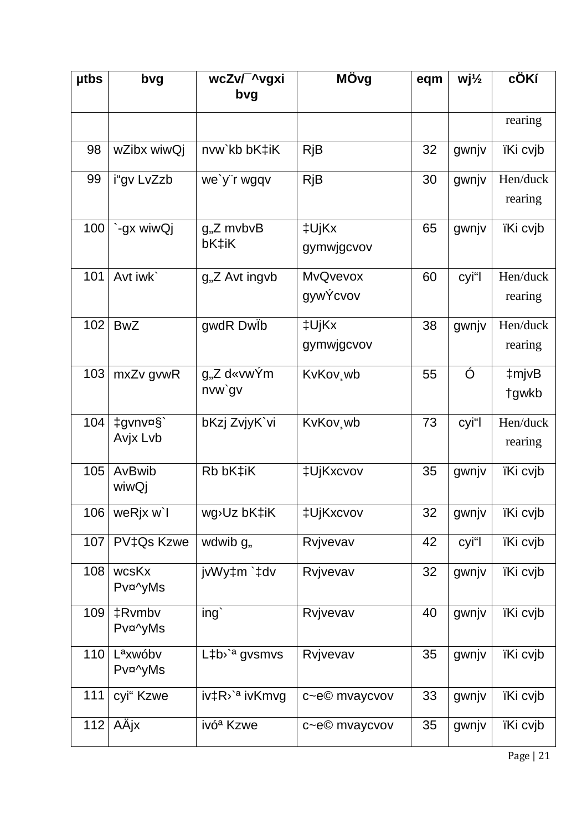| <b>utbs</b> | bvg                             | wcZv/ ^vgxi                   | MÖvg                  | eqm | $Wj\frac{1}{2}$ | cÖKí     |
|-------------|---------------------------------|-------------------------------|-----------------------|-----|-----------------|----------|
|             |                                 | bvg                           |                       |     |                 |          |
|             |                                 |                               |                       |     |                 | rearing  |
| 98          | wZibx wiwQj                     | nvw`kb bK‡iK                  | <b>RjB</b>            | 32  | gwnjv           | ïKi cvjb |
| 99          | i"gv LvZzb                      | we'y"r wgqv                   | <b>RjB</b>            | 30  | gwnjv           | Hen/duck |
|             |                                 |                               |                       |     |                 | rearing  |
| 100         | `-gx wiwQj                      | $gnZ$ mvbvB                   | ‡UjKx                 | 65  | gwnjv           | ïKi cvjb |
|             |                                 | bK‡iK                         | gymwjgcvov            |     |                 |          |
| 101         | Avt iwk`                        | g <sub>1</sub> ,Z Avt ingvb   | MvQvevox              | 60  | cyi"l           | Hen/duck |
|             |                                 |                               | gywÝcvov              |     |                 | rearing  |
| 102         | <b>BwZ</b>                      | gwdR Dwlb                     | ‡UjKx                 | 38  | gwnjv           | Hen/duck |
|             |                                 |                               | gymwjgcvov            |     |                 | rearing  |
| 103         | mxZv gvwR                       | $gnZ$ d«vwÝm                  | KvKov wb              | 55  | Ó               | ‡mjvB    |
|             |                                 | nvw`gv                        |                       |     |                 | tgwkb    |
| 104         | ‡gvnv¤§`                        | bKzj ZvjyK`vi                 | KvKov <sub>, Wb</sub> | 73  | cyi"l           | Hen/duck |
|             | Avjx Lvb                        |                               |                       |     |                 | rearing  |
| 105         | AvBwib<br>wiwQj                 | Rb bK‡iK                      | ‡UjKxcvov             | 35  | gwnjv           | ïKi cvjb |
|             | $106$ weRjx w`l                 | wg <sup>&gt;</sup> Uz bK‡iK   | <b>‡UjKxcvov</b>      | 32  | gwnjv           | ïKi cvjb |
| 107         | PV‡Qs Kzwe                      | wdwib g <sub>n</sub>          | Rvjvevav              | 42  | cyi"l           | ïKi cvjb |
| 108         | wcsKx<br>Pv¤^yMs                | jvWy‡m`‡dv                    | Rvjvevav              | 32  | gwnjv           | ïKi cvjb |
|             |                                 |                               |                       |     |                 |          |
| 109         | ‡Rvmbv<br>Pv¤^yMs               | ing                           | Rvjvevav              | 40  | gwnjv           | ïKi cvjb |
| 110         | L <sup>a</sup> xwóbv<br>Pv¤^yMs | L‡b <sup>3</sup> gvsmvs       | Rvjvevav              | 35  | gwnjv           | ïKi cvjb |
| 111         | cyi" Kzwe                       | iv‡R <sup>&gt;`a</sup> ivKmvg | c~e© mvaycvov         | 33  | gwnjv           | ïKi cvjb |
| 112         | AÄjx                            | ivó <sup>a</sup> Kzwe         | c~e© mvaycvov         | 35  | gwnjv           | ïKi cvjb |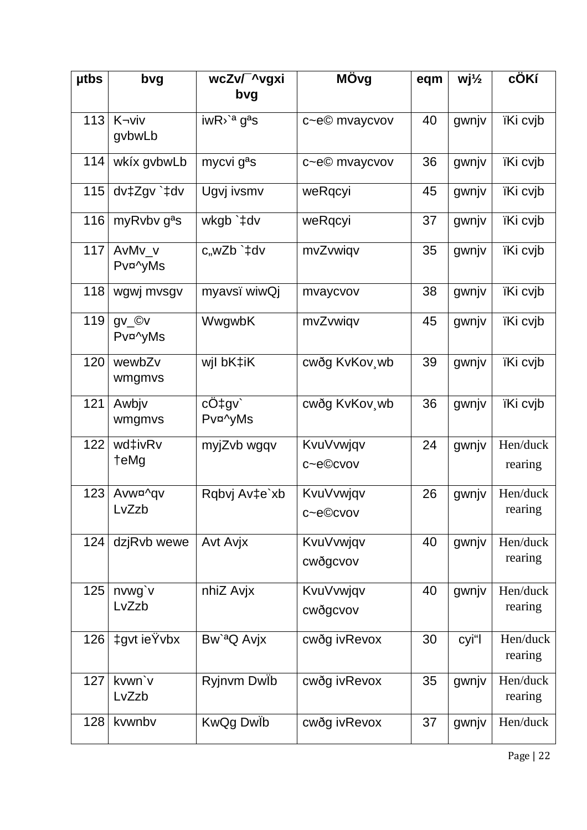| <b>utbs</b> | bvg                     | wcZv/ ^vgxi                                      | MÖvg                  | eqm | $Wj\frac{1}{2}$ | cÖKí                |
|-------------|-------------------------|--------------------------------------------------|-----------------------|-----|-----------------|---------------------|
|             |                         | bvg                                              |                       |     |                 |                     |
| 113         | K-viv                   | $i$ wR $\lambda$ ' <sup>a</sup> g <sup>a</sup> s | c~e© mvaycvov         | 40  | gwnjv           | ïKi cvjb            |
|             | gvbwLb                  |                                                  |                       |     |                 |                     |
| 114         | wkíx gvbwLb             | mycvi g <sup>a</sup> s                           | c~e© mvaycvov         | 36  | gwnjv           | ïKi cvjb            |
| 115         | dv‡Zgv`‡dv              | Ugvj ivsmv                                       | weRqcyi               | 45  | gwnjv           | ïKi cvjb            |
| 116         | myRvbv g <sup>a</sup> s | wkgb `‡dv                                        | weRqcyi               | 37  | gwnjv           | ïKi cvjb            |
| 117         | AvMv v<br>Pv¤^yMs       | c,wZb `‡dv                                       | mvZvwiqv              | 35  | gwnjv           | ïKi cvjb            |
| 118         | wgwj mvsgv              | myavsï wiwQj                                     | mvaycvov              | 38  | gwnjv           | ïKi cvjb            |
| 119         | gv_©v<br>Pv¤^yMs        | WwgwbK                                           | mvZvwiqv              | 45  | gwnjv           | ïKi cvjb            |
| 120         | wewbZv<br>wmgmvs        | wjl bK‡iK                                        | cwðg KvKov wb         | 39  | gwnjv           | ïKi cvjb            |
| 121         | Awbjv<br>wmgmvs         | $c\ddot{O}$ tgv<br>Pv¤^yMs                       | cwðg KvKov, wb        | 36  | gwnjv           | ïKi cvjb            |
| 122         | wd‡ivRv<br>†eMg         | myjZvb wgqv                                      | KvuVvwjqv<br>c~e©cvov | 24  | gwnjv           | Hen/duck<br>rearing |
|             |                         |                                                  |                       |     |                 |                     |
| 123         | Avw¤^gv                 | Rqbvj Av‡e`xb                                    | KvuVvwjqv             | 26  | gwnjv           | Hen/duck            |
|             | LvZzb                   |                                                  | c~e©cvov              |     |                 | rearing             |
| 124         | dzjRvb wewe             | Avt Avjx                                         | KvuVvwjqv             | 40  | gwnjv           | Hen/duck            |
|             |                         |                                                  | cwðgcvov              |     |                 | rearing             |
| 125         | nvwg'v                  | nhiZ Avjx                                        | KvuVvwjqv             | 40  | gwnjv           | Hen/duck            |
|             | LvZzb                   |                                                  | cwðgcvov              |     |                 | rearing             |
| 126         | ‡gvt ieŸvbx             | Bw' <sup>a</sup> Q Avjx                          | cwðg ivRevox          | 30  | cyi"l           | Hen/duck<br>rearing |
| 127         | kvwn'v<br>LvZzb         | Ryjnvm Dwib                                      | cwðg ivRevox          | 35  | gwnjv           | Hen/duck<br>rearing |
| 128         | kvwnbv                  | KwQg Dwlb                                        | cwðg ivRevox          | 37  | gwnjv           | Hen/duck            |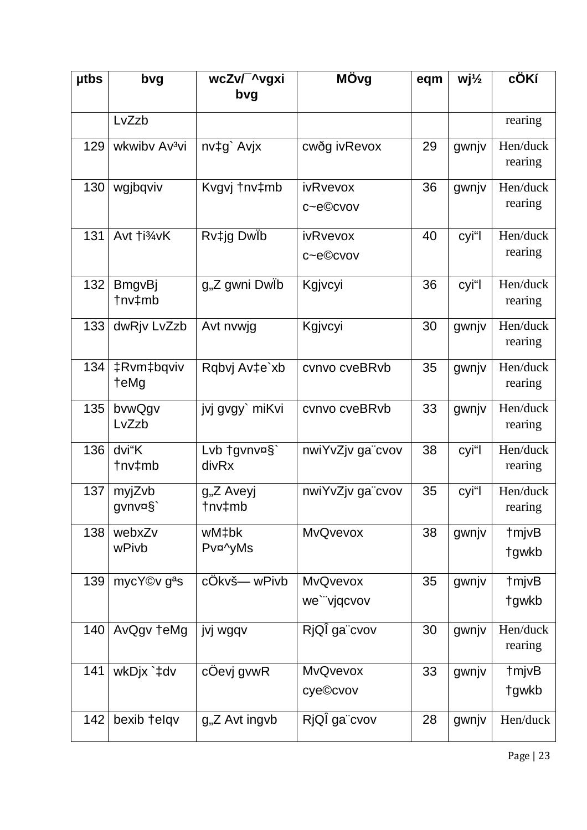| <b>utbs</b> | bvg                       | wcZv/ ^vgxi                      | MÖvg                           | eqm | $Wj\frac{1}{2}$ | cÖKí                |
|-------------|---------------------------|----------------------------------|--------------------------------|-----|-----------------|---------------------|
|             |                           | bvg                              |                                |     |                 |                     |
|             | LvZzb                     |                                  |                                |     |                 | rearing             |
| 129         | wkwiby Av <sup>3</sup> vi | nv‡g` Avjx                       | cwðg ivRevox                   | 29  | gwnjv           | Hen/duck<br>rearing |
| 130         | wgjbqviv                  | Kvgvj tnv‡mb                     | ivRvevox<br>c~e©cvov           | 36  | gwnjv           | Hen/duck<br>rearing |
| 131         | Avt †i <sup>3</sup> ⁄4vK  | Rv‡jg DwÏb                       | ivRvevox<br>c~e©cvov           | 40  | cyi"l           | Hen/duck<br>rearing |
| 132         | <b>BmgvBj</b><br>tnv‡mb   | g"Z gwni Dwlb                    | Kgjvcyi                        | 36  | cyi"l           | Hen/duck<br>rearing |
| 133         | dwRjv LvZzb               | Avt nvwjg                        | Kgjvcyi                        | 30  | gwnjv           | Hen/duck<br>rearing |
| 134         | ‡Rvm‡bqviv<br>teMg        | Rqbvj Av‡e`xb                    | cvnvo cveBRvb                  | 35  | gwnjv           | Hen/duck<br>rearing |
| 135         | bvwQgv<br>LvZzb           | jvj gvgy` miKvi                  | cvnvo cveBRvb                  | 33  | gwnjv           | Hen/duck<br>rearing |
| 136         | dvi"K<br>tnv‡mb           | Lvb tgvnv¤§`<br>divRx            | nwiYvZjv ga"cvov               | 38  | cyi"l           | Hen/duck<br>rearing |
| 137         | myjZvb<br>gvnv¤§`         | g <sub>"</sub> Z Aveyj<br>tnv‡mb | nwiYvZjv ga"cvov               | 35  | cyi"l           | Hen/duck<br>rearing |
| 138         | webxZv<br>wPivb           | wM‡bk<br>Pv¤^yMs                 | <b>MvQvevox</b>                | 38  | gwnjv           | †mjvB<br>tgwkb      |
| 139         | mycY©v g <sup>a</sup> s   | cÖkvš— wPivb                     | <b>MvQvevox</b><br>we`"vjqcvov | 35  | gwnjv           | †mjvB<br>tgwkb      |
| 140         | AvQgv teMg                | jvj wgqv                         | RjQÎ ga"cvov                   | 30  | gwnjv           | Hen/duck<br>rearing |
| 141         | wkDjx `‡dv                | cÖevj gvwR                       | <b>MvQvevox</b><br>cye©cvov    | 33  | gwnjv           | †mjvB<br>tgwkb      |
| 142         | bexib telqv               | g <sub>"</sub> Z Avt ingvb       | RjQÎ ga"cvov                   | 28  | gwnjv           | Hen/duck            |